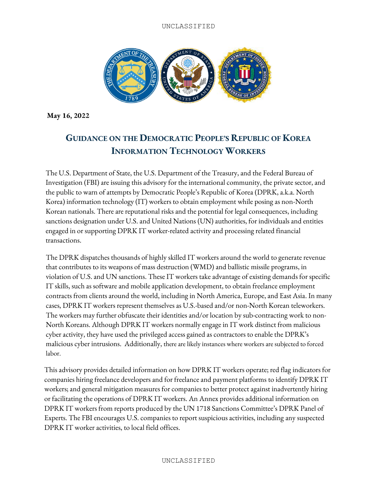

**May 16, 2022**

# **GUIDANCE ON THE DEMOCRATIC PEOPLE'S REPUBLIC OF KOREA INFORMATION TECHNOLOGY WORKERS**

The U.S. Department of State, the U.S. Department of the Treasury, and the Federal Bureau of Investigation (FBI) are issuing this advisory for the international community, the private sector, and the public to warn of attempts by Democratic People's Republic of Korea (DPRK, a.k.a. North Korea) information technology (IT) workers to obtain employment while posing as non-North Korean nationals. There are reputational risks and the potential for legal consequences, including sanctions designation under U.S. and United Nations (UN) authorities, for individuals and entities engaged in or supporting DPRK IT worker-related activity and processing related financial transactions.

The DPRK dispatches thousands of highly skilled IT workers around the world to generate revenue that contributes to its weapons of mass destruction (WMD) and ballistic missile programs, in violation of U.S. and UN sanctions. These IT workers take advantage of existing demands for specific IT skills, such as software and mobile application development, to obtain freelance employment contracts from clients around the world, including in North America, Europe, and East Asia. In many cases, DPRK IT workers represent themselves as U.S.-based and/or non-North Korean teleworkers. The workers may further obfuscate their identities and/or location by sub-contracting work to non-North Koreans. Although DPRK IT workers normally engage in IT work distinct from malicious cyber activity, they have used the privileged access gained as contractors to enable the DPRK's malicious cyber intrusions. Additionally, there are likely instances where workers are subjected to forced labor.

This advisory provides detailed information on how DPRK IT workers operate; red flag indicators for companies hiring freelance developers and for freelance and payment platforms to identify DPRK IT workers; and general mitigation measures for companies to better protect against inadvertently hiring or facilitating the operations of DPRK IT workers. An Annex provides additional information on DPRK IT workers from reports produced by the UN 1718 Sanctions Committee's DPRK Panel of Experts. The FBI encourages U.S. companies to report suspicious activities, including any suspected DPRK IT worker activities, to local field offices.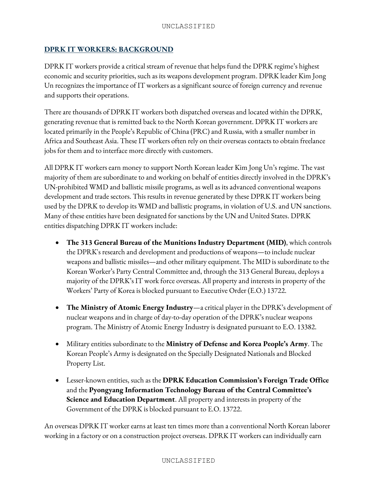# **DPRK IT WORKERS: BACKGROUND**

DPRK IT workers provide a critical stream of revenue that helps fund the DPRK regime's highest economic and security priorities, such as its weapons development program. DPRK leader Kim Jong Un recognizes the importance of IT workers as a significant source of foreign currency and revenue and supports their operations.

There are thousands of DPRK IT workers both dispatched overseas and located within the DPRK, generating revenue that is remitted back to the North Korean government. DPRK IT workers are located primarily in the People's Republic of China (PRC) and Russia, with a smaller number in Africa and Southeast Asia. These IT workers often rely on their overseas contacts to obtain freelance jobs for them and to interface more directly with customers.

All DPRK IT workers earn money to support North Korean leader Kim Jong Un's regime. The vast majority of them are subordinate to and working on behalf of entities directly involved in the DPRK's UN-prohibited WMD and ballistic missile programs, as well as its advanced conventional weapons development and trade sectors. This results in revenue generated by these DPRK IT workers being used by the DPRK to develop its WMD and ballistic programs, in violation of U.S. and UN sanctions. Many of these entities have been designated for sanctions by the UN and United States. DPRK entities dispatching DPRK IT workers include:

- **The 313 General Bureau of the Munitions Industry Department (MID)**, which controls the DPRK's research and development and productions of weapons—to include nuclear weapons and ballistic missiles—and other military equipment. The MID is subordinate to the Korean Worker's Party Central Committee and, through the 313 General Bureau, deploys a majority of the DPRK's IT work force overseas. All property and interests in property of the Workers' Party of Korea is blocked pursuant to Executive Order (E.O.) 13722.
- **The Ministry of Atomic Energy Industry**—a critical player in the DPRK's development of nuclear weapons and in charge of day-to-day operation of the DPRK's nuclear weapons program. The Ministry of Atomic Energy Industry is designated pursuant to E.O. 13382.
- Military entities subordinate to the **Ministry of Defense and Korea People's Army**. The Korean People's Army is designated on the Specially Designated Nationals and Blocked Property List.
- Lesser-known entities, such as the **DPRK Education Commission's Foreign Trade Office** and the **Pyongyang Information Technology Bureau of the Central Committee's Science and Education Department**. All property and interests in property of the Government of the DPRK is blocked pursuant to E.O. 13722.

An overseas DPRK IT worker earnsat least ten times more than a conventional North Korean laborer working in a factory or on a construction project overseas. DPRK IT workers can individually earn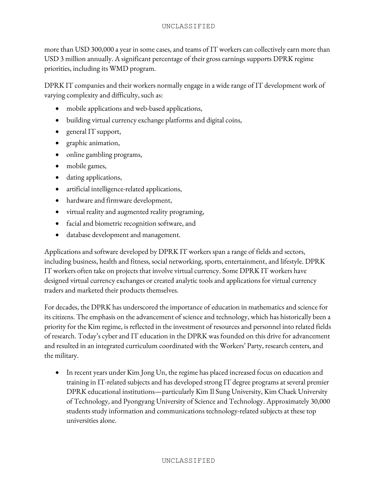more than USD 300,000 a year in some cases, and teams of IT workers can collectively earn more than USD 3 million annually. A significant percentage of their gross earnings supports DPRK regime priorities, including its WMD program.

DPRK IT companies and their workers normally engage in a wide range of IT development work of varying complexity and difficulty, such as:

- mobile applications and web-based applications,
- building virtual currency exchange platforms and digital coins,
- general IT support,
- graphic animation,
- online gambling programs,
- mobile games,
- dating applications,
- artificial intelligence-related applications,
- hardware and firmware development,
- virtual reality and augmented reality programing,
- facial and biometric recognition software, and
- database development and management.

Applications and software developed by DPRK IT workers span a range of fields and sectors, including business, health and fitness, social networking, sports, entertainment, and lifestyle. DPRK IT workers often take on projects that involve virtual currency. Some DPRK IT workers have designed virtual currency exchanges or created analytic tools and applications for virtual currency traders and marketed their products themselves.

For decades, the DPRK has underscored the importance of education in mathematics and science for its citizens. The emphasis on the advancement of science and technology, which has historically been a priority for the Kim regime, is reflected in the investment of resources and personnel into related fields of research. Today's cyber and IT education in the DPRK was founded on this drive for advancement and resulted in an integrated curriculum coordinated with the Workers' Party, research centers, and the military.

• In recent years under Kim Jong Un, the regime has placed increased focus on education and training in IT-related subjects and has developed strong IT degree programs at several premier DPRK educational institutions—particularly Kim Il Sung University, Kim Chaek University of Technology, and Pyongyang University of Science and Technology. Approximately 30,000 students study information and communications technology-related subjects at these top universities alone.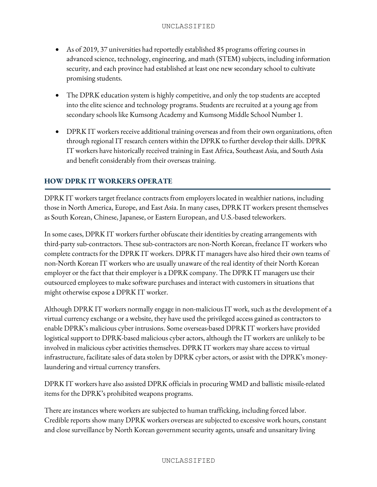- As of 2019, 37 universities had reportedly established 85 programs offering courses in advanced science, technology, engineering, and math (STEM) subjects, including information security, and each province had established at least one new secondary school to cultivate promising students.
- The DPRK education system is highly competitive, and only the top students are accepted into the elite science and technology programs. Students are recruited at a young age from secondary schools like Kumsong Academy and Kumsong Middle School Number 1.
- DPRK IT workers receive additional training overseas and from their own organizations, often through regional IT research centers within the DPRK to further develop their skills. DPRK IT workers have historically received training in East Africa, Southeast Asia, and South Asia and benefit considerably from their overseas training.

# **HOW DPRK IT WORKERS OPERATE**

DPRK IT workers target freelance contracts from employers located in wealthier nations, including those in North America, Europe, and East Asia. In many cases, DPRK IT workers present themselves as South Korean, Chinese, Japanese, or Eastern European, and U.S.-based teleworkers.

In some cases, DPRK IT workers further obfuscate their identities by creating arrangements with third-party sub-contractors. These sub-contractors are non-North Korean, freelance IT workers who complete contracts for the DPRK IT workers. DPRK IT managers have also hired their own teams of non-North Korean IT workers who are usually unaware of the real identity of their North Korean employer or the fact that their employer is a DPRK company. The DPRK IT managers use their outsourced employees to make software purchases and interact with customers in situations that might otherwise expose a DPRK IT worker.

Although DPRK IT workers normally engage in non-malicious IT work, such as the development of a virtual currency exchange or a website, they have used the privileged access gained as contractors to enable DPRK's malicious cyber intrusions. Some overseas-based DPRK IT workers have provided logistical support to DPRK-based malicious cyber actors, although the IT workers are unlikely to be involved in malicious cyber activities themselves. DPRK IT workers may share access to virtual infrastructure, facilitate sales of data stolen by DPRK cyber actors, or assist with the DPRK's moneylaundering and virtual currency transfers.

DPRK IT workers have also assisted DPRK officials in procuring WMD and ballistic missile-related items for the DPRK's prohibited weapons programs.

There are instances where workers are subjected to human trafficking, including forced labor. Credible reports show many DPRK workers overseas are subjected to excessive work hours, constant and close surveillance by North Korean government security agents, unsafe and unsanitary living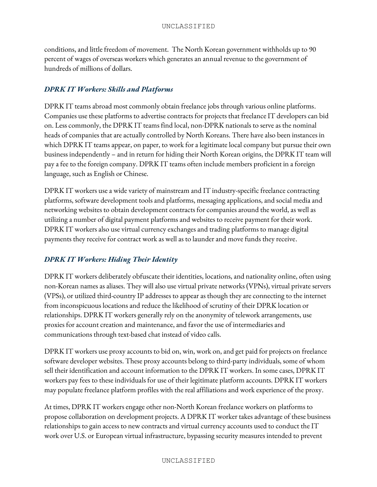conditions, and little freedom of movement. The North Korean government withholds up to 90 percent of wages of overseas workers which generates an annual revenue to the government of hundreds of millions of dollars.

# *DPRK IT Workers: Skills and Platforms*

DPRK IT teams abroad most commonly obtain freelance jobs through various online platforms. Companies use these platforms to advertise contracts for projects that freelance IT developers can bid on. Less commonly, the DPRK IT teams find local, non-DPRK nationals to serve as the nominal heads of companies that are actually controlled by North Koreans. There have also been instances in which DPRK IT teams appear, on paper, to work for a legitimate local company but pursue their own business independently – and in return for hiding their North Korean origins, the DPRK IT team will pay a fee to the foreign company. DPRK IT teams often include members proficient in a foreign language, such as English or Chinese.

DPRK IT workers use a wide variety of mainstream and IT industry-specific freelance contracting platforms, software development tools and platforms, messaging applications, and social media and networking websites to obtain development contracts for companies around the world, as well as utilizing a number of digital payment platforms and websites to receive payment for their work. DPRK IT workers also use virtual currency exchanges and trading platforms to manage digital payments they receive for contract work as well as to launder and move funds they receive.

# *DPRK IT Workers: Hiding Their Identity*

DPRK IT workers deliberately obfuscate their identities, locations, and nationality online, often using non-Korean names as aliases. They will also use virtual private networks (VPNs), virtual private servers (VPSs), or utilized third-country IP addresses to appear as though they are connecting to the internet from inconspicuous locations and reduce the likelihood of scrutiny of their DPRK location or relationships. DPRK IT workers generally rely on the anonymity of telework arrangements, use proxies for account creation and maintenance, and favor the use of intermediaries and communications through text-based chat instead of video calls.

DPRK IT workers use proxy accounts to bid on, win, work on, and get paid for projects on freelance software developer websites. These proxy accounts belong to third-party individuals, some of whom sell their identification and account information to the DPRK IT workers. In some cases, DPRK IT workers pay fees to these individuals for use of their legitimate platform accounts. DPRK IT workers may populate freelance platform profiles with the real affiliations and work experience of the proxy.

At times, DPRK IT workers engage other non-North Korean freelance workers on platforms to propose collaboration on development projects. A DPRK IT worker takes advantage of these business relationships to gain access to new contracts and virtual currency accounts used to conduct the IT work over U.S. or European virtual infrastructure, bypassing security measures intended to prevent

#### UNCLASSIFIED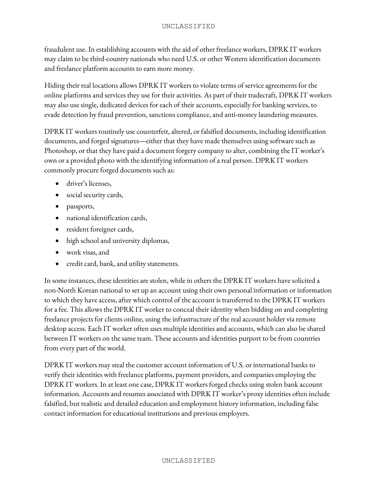fraudulent use. In establishing accounts with the aid of other freelance workers, DPRK IT workers may claim to be third-country nationals who need U.S. or other Western identification documents and freelance platform accounts to earn more money.

Hiding their real locations allows DPRK IT workers to violate terms of service agreements for the online platforms and services they use for their activities. As part of their tradecraft, DPRK IT workers may also use single, dedicated devices for each of their accounts, especially for banking services, to evade detection by fraud prevention, sanctions compliance, and anti-money laundering measures.

DPRK IT workers routinely use counterfeit, altered, or falsified documents, including identification documents, and forged signatures—either that they have made themselves using software such as Photoshop, or that they have paid a document forgery company to alter, combining the IT worker's own or a provided photo with the identifying information of a real person. DPRK IT workers commonly procure forged documents such as:

- driver's licenses,
- social security cards,
- passports,
- national identification cards,
- resident foreigner cards,
- high school and university diplomas,
- work visas, and
- credit card, bank, and utility statements.

In some instances, these identities are stolen, while in others the DPRK IT workers have solicited a non-North Korean national to set up an account using their own personal information or information to which they have access, after which control of the account is transferred to the DPRK IT workers for a fee. This allows the DPRK IT worker to conceal their identity when bidding on and completing freelance projects for clients online, using the infrastructure of the real account holder via remote desktop access. Each IT worker often uses multiple identities and accounts, which can also be shared between IT workers on the same team. These accounts and identities purport to be from countries from every part of the world.

DPRK IT workers may steal the customer account information of U.S. or international banks to verify their identities with freelance platforms, payment providers, and companies employing the DPRK IT workers. In at least one case, DPRK IT workers forged checks using stolen bank account information. Accounts and resumes associated with DPRK IT worker's proxy identities often include falsified, but realistic and detailed education and employment history information, including false contact information for educational institutions and previous employers.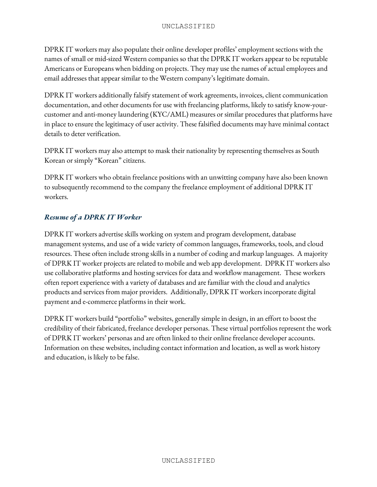DPRK IT workers may also populate their online developer profiles' employment sections with the names of small or mid-sized Western companies so that the DPRK IT workers appear to be reputable Americans or Europeans when bidding on projects. They may use the names of actual employees and email addresses that appear similar to the Western company's legitimate domain.

DPRK IT workers additionally falsify statement of work agreements, invoices, client communication documentation, and other documents for use with freelancing platforms, likely to satisfy know-yourcustomer and anti-money laundering (KYC/AML) measures or similar procedures that platforms have in place to ensure the legitimacy of user activity. These falsified documents may have minimal contact details to deter verification.

DPRK IT workers may also attempt to mask their nationality by representing themselves as South Korean or simply "Korean" citizens.

DPRK IT workers who obtain freelance positions with an unwitting company have also been known to subsequently recommend to the company the freelance employment of additional DPRK IT workers.

# *Resume of a DPRK IT Worker*

DPRK IT workers advertise skills working on system and program development, database management systems, and use of a wide variety of common languages, frameworks, tools, and cloud resources. These often include strong skills in a number of coding and markup languages. A majority of DPRK IT worker projects are related to mobile and web app development. DPRK IT workers also use collaborative platforms and hosting services for data and workflow management. These workers often report experience with a variety of databases and are familiar with the cloud and analytics products and services from major providers. Additionally, DPRK IT workers incorporate digital payment and e-commerce platforms in their work.

DPRK IT workers build "portfolio" websites, generally simple in design, in an effort to boost the credibility of their fabricated, freelance developer personas. These virtual portfolios represent the work of DPRK IT workers' personas and are often linked to their online freelance developer accounts. Information on these websites, including contact information and location, as well as work history and education, is likely to be false.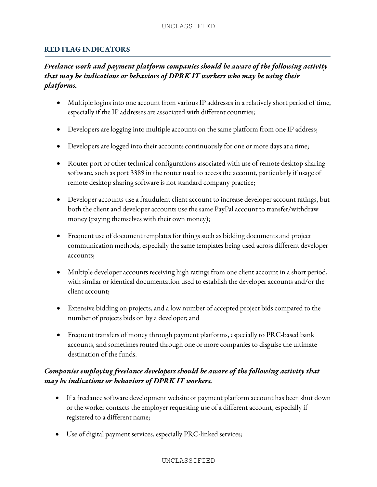### **RED FLAG INDICATORS**

# *Freelance work and payment platform companies should be aware of the following activity that may be indications or behaviors of DPRK IT workers who may be using their platforms.*

- Multiple logins into one account from various IP addresses in a relatively short period of time, especially if the IP addresses are associated with different countries;
- Developers are logging into multiple accounts on the same platform from one IP address;
- Developers are logged into their accounts continuously for one or more days at a time;
- Router port or other technical configurations associated with use of remote desktop sharing software, such as port 3389 in the router used to access the account, particularly if usage of remote desktop sharing software is not standard company practice;
- Developer accounts use a fraudulent client account to increase developer account ratings, but both the client and developer accounts use the same PayPal account to transfer/withdraw money (paying themselves with their own money);
- Frequent use of document templates for things such as bidding documents and project communication methods, especially the same templates being used across different developer accounts;
- Multiple developer accounts receiving high ratings from one client account in a short period, with similar or identical documentation used to establish the developer accounts and/or the client account;
- Extensive bidding on projects, and a low number of accepted project bids compared to the number of projects bids on by a developer; and
- Frequent transfers of money through payment platforms, especially to PRC-based bank accounts, and sometimes routed through one or more companies to disguise the ultimate destination of the funds.

# *Companies employing freelance developers should be aware of the following activity that may be indications or behaviors of DPRK IT workers.*

- If a freelance software development website or payment platform account has been shut down or the worker contacts the employer requesting use of a different account, especially if registered to a different name;
- Use of digital payment services, especially PRC-linked services;

#### UNCLASSIFIED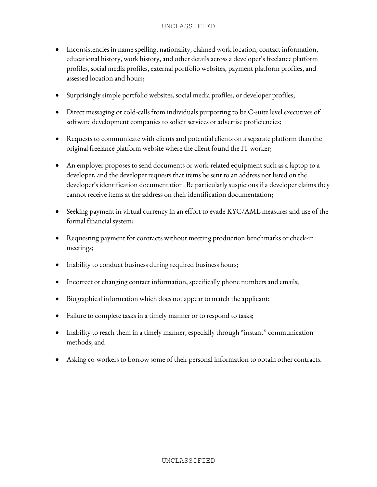- Inconsistencies in name spelling, nationality, claimed work location, contact information, educational history, work history, and other details across a developer's freelance platform profiles, social media profiles, external portfolio websites, payment platform profiles, and assessed location and hours;
- Surprisingly simple portfolio websites, social media profiles, or developer profiles;
- Direct messaging or cold-calls from individuals purporting to be C-suite level executives of software development companies to solicit services or advertise proficiencies;
- Requests to communicate with clients and potential clients on a separate platform than the original freelance platform website where the client found the IT worker;
- An employer proposes to send documents or work-related equipment such as a laptop to a developer, and the developer requests that items be sent to an address not listed on the developer's identification documentation. Be particularly suspicious if a developer claims they cannot receive items at the address on their identification documentation;
- Seeking payment in virtual currency in an effort to evade KYC/AML measures and use of the formal financial system;
- Requesting payment for contracts without meeting production benchmarks or check-in meetings;
- Inability to conduct business during required business hours;
- Incorrect or changing contact information, specifically phone numbers and emails;
- Biographical information which does not appear to match the applicant;
- Failure to complete tasks in a timely manner or to respond to tasks;
- Inability to reach them in a timely manner, especially through "instant" communication methods; and
- Asking co-workers to borrow some of their personal information to obtain other contracts.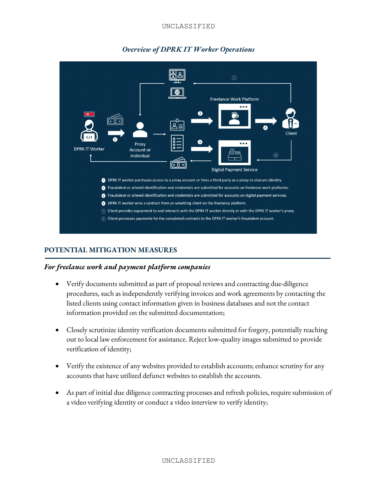#### UNCLASSIFIED



# *Overview of DPRK IT Worker Operations*

# **POTENTIAL MITIGATION MEASURES**

### *For freelance work and payment platform companies*

- Verify documents submitted as part of proposal reviews and contracting due-diligence procedures, such as independently verifying invoices and work agreements by contacting the listed clients using contact information given in business databases and not the contact information provided on the submitted documentation;
- Closely scrutinize identity verification documents submitted for forgery, potentially reaching out to local law enforcement for assistance. Reject low-quality images submitted to provide verification of identity;
- Verify the existence of any websites provided to establish accounts; enhance scrutiny for any accounts that have utilized defunct websites to establish the accounts.
- As part of initial due diligence contracting processes and refresh policies, require submission of a video verifying identity or conduct a video interview to verify identity;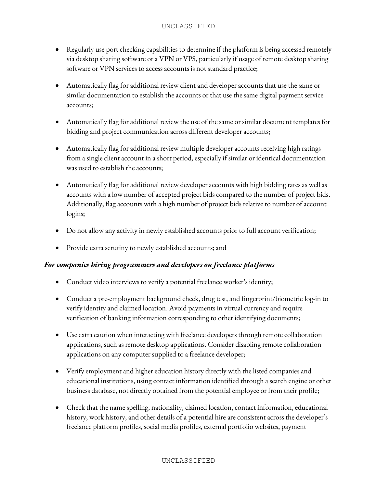- Regularly use port checking capabilities to determine if the platform is being accessed remotely via desktop sharing software or a VPN or VPS, particularly if usage of remote desktop sharing software or VPN services to access accounts is not standard practice;
- Automatically flag for additional review client and developer accounts that use the same or similar documentation to establish the accounts or that use the same digital payment service accounts;
- Automatically flag for additional review the use of the same or similar document templates for bidding and project communication across different developer accounts;
- Automatically flag for additional review multiple developer accounts receiving high ratings from a single client account in a short period, especially if similar or identical documentation was used to establish the accounts;
- Automatically flag for additional review developer accounts with high bidding rates as well as accounts with a low number of accepted project bids compared to the number of project bids. Additionally, flag accounts with a high number of project bids relative to number of account logins;
- Do not allow any activity in newly established accounts prior to full account verification;
- Provide extra scrutiny to newly established accounts; and

# *For companies hiring programmers and developers on freelance platforms*

- Conduct video interviews to verify a potential freelance worker's identity;
- Conduct a pre-employment background check, drug test, and fingerprint/biometric log-in to verify identity and claimed location. Avoid payments in virtual currency and require verification of banking information corresponding to other identifying documents;
- Use extra caution when interacting with freelance developers through remote collaboration applications, such as remote desktop applications. Consider disabling remote collaboration applications on any computer supplied to a freelance developer;
- Verify employment and higher education history directly with the listed companies and educational institutions, using contact information identified through a search engine or other business database, not directly obtained from the potential employee or from their profile;
- Check that the name spelling, nationality, claimed location, contact information, educational history, work history, and other details of a potential hire are consistent across the developer's freelance platform profiles, social media profiles, external portfolio websites, payment

### UNCLASSIFIED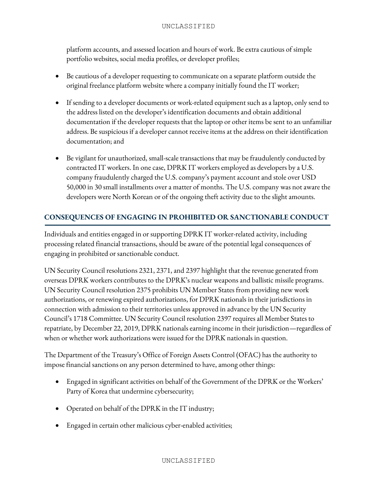platform accounts, and assessed location and hours of work. Be extra cautious of simple portfolio websites, social media profiles, or developer profiles;

- Be cautious of a developer requesting to communicate on a separate platform outside the original freelance platform website where a company initially found the IT worker;
- If sending to a developer documents or work-related equipment such as a laptop, only send to the address listed on the developer's identification documentsand obtain additional documentation if the developer requests that the laptop or other items be sent to an unfamiliar address. Be suspicious if a developer cannot receive items at the address on their identification documentation; and
- Be vigilant for unauthorized, small-scale transactions that may be fraudulently conducted by contracted IT workers. In one case, DPRK IT workers employed as developers by a U.S. company fraudulently charged the U.S. company's payment account and stole over USD 50,000 in 30 small installments over a matter of months. The U.S. company was not aware the developers were North Korean or of the ongoing theft activity due to the slight amounts.

# **CONSEQUENCES OF ENGAGING IN PROHIBITED OR SANCTIONABLE CONDUCT**

Individuals and entities engaged in or supporting DPRK IT worker-related activity, including processing related financial transactions, should be aware of the potential legal consequences of engaging in prohibited or sanctionable conduct.

UN Security Council resolutions 2321, 2371, and 2397 highlight that the revenue generated from overseas DPRK workers contributes to the DPRK's nuclear weapons and ballistic missile programs. UN Security Council resolution 2375 prohibits UN Member States from providing new work authorizations, or renewing expired authorizations, for DPRK nationals in their jurisdictions in connection with admission to their territories unless approved in advance by the UN Security Council's 1718 Committee. UN Security Council resolution 2397 requires all Member States to repatriate, by December 22, 2019, DPRK nationals earning income in their jurisdiction—regardless of when or whether work authorizations were issued for the DPRK nationals in question.

The Department of the Treasury's Office of Foreign Assets Control (OFAC) has the authority to impose financial sanctions on any person determined to have, among other things:

- Engaged in significant activities on behalf of the Government of the DPRK or the Workers' Party of Korea that undermine cybersecurity;
- Operated on behalf of the DPRK in the IT industry;
- Engaged in certain other malicious cyber-enabled activities;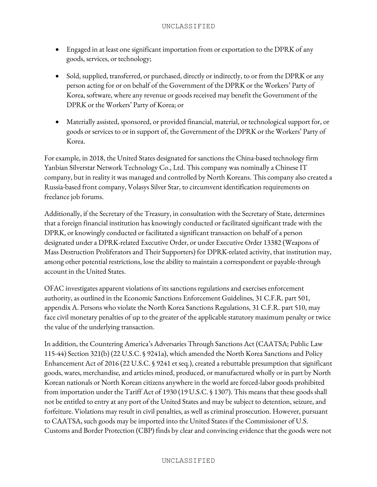- Engaged in at least one significant importation from or exportation to the DPRK of any goods, services, or technology;
- Sold, supplied, transferred, or purchased, directly or indirectly, to or from the DPRK or any person acting for or on behalf of the Government of the DPRK or the Workers' Party of Korea, software, where any revenue or goods received may benefit the Government of the DPRK or the Workers' Party of Korea; or
- Materially assisted, sponsored, or provided financial, material, or technological support for, or goods or services to or in support of, the Government of the DPRK or the Workers' Party of Korea.

For example, in 2018, the United States designated for sanctions the China-based technology firm Yanbian Silverstar Network Technology Co., Ltd. This company was nominally a Chinese IT company, but in reality it was managed and controlled by North Koreans. This company also created a Russia-based front company, Volasys Silver Star, to circumvent identification requirements on freelance job forums.

Additionally, if the Secretary of the Treasury, in consultation with the Secretary of State, determines that a foreign financial institution has knowingly conducted or facilitated significant trade with the DPRK, or knowingly conducted or facilitated a significant transaction on behalf of a person designated under a DPRK-related Executive Order, or under Executive Order 13382 (Weapons of Mass Destruction Proliferators and Their Supporters) for DPRK-related activity, that institution may, among other potential restrictions, lose the ability to maintain a correspondent or payable-through account in the United States.

OFAC investigates apparent violations of its sanctions regulations and exercises enforcement authority, as outlined in the Economic Sanctions Enforcement Guidelines, 31 C.F.R. part 501, appendix A. Persons who violate the North Korea Sanctions Regulations, 31 C.F.R. part 510, may face civil monetary penalties of up to the greater of the applicable statutory maximum penalty or twice the value of the underlying transaction.

In addition, the Countering America's Adversaries Through Sanctions Act (CAATSA; Public Law 115-44) Section 321(b) (22 U.S.C. § 9241a), which amended the North Korea Sanctions and Policy Enhancement Act of 2016 (22 U.S.C. § 9241 et seq.), created a rebuttable presumption that significant goods, wares, merchandise, and articles mined, produced, or manufactured wholly or in part by North Korean nationals or North Korean citizens anywhere in the world are forced-labor goods prohibited from importation under the Tariff Act of 1930 (19 U.S.C. § 1307). This means that these goods shall not be entitled to entry at any port of the United States and may be subject to detention, seizure, and forfeiture. Violations may result in civil penalties, as well as criminal prosecution. However, pursuant to CAATSA, such goods may be imported into the United States if the Commissioner of U.S. Customs and Border Protection (CBP) finds by clear and convincing evidence that the goods were not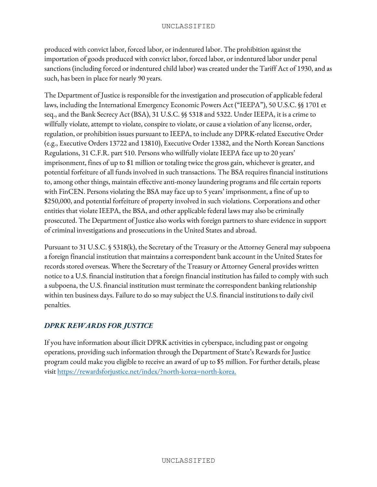produced with convict labor, forced labor, or indentured labor. The prohibition against the importation of goods produced with convict labor, forced labor, or indentured labor under penal sanctions (including forced or indentured child labor) was created under the Tariff Act of 1930, and as such, has been in place for nearly 90 years.

The Department of Justice is responsible for the investigation and prosecution of applicable federal laws, including the International Emergency Economic Powers Act ("IEEPA"), 50 U.S.C. §§ 1701 et seq., and the Bank Secrecy Act (BSA), 31 U.S.C. §§ 5318 and 5322. Under IEEPA, it is a crime to willfully violate, attempt to violate, conspire to violate, or cause a violation of any license, order, regulation, or prohibition issues pursuant to IEEPA, to include any DPRK-related Executive Order (e.g., Executive Orders 13722 and 13810), Executive Order 13382, and the North Korean Sanctions Regulations, 31 C.F.R. part 510. Persons who willfully violate IEEPA face up to 20 years' imprisonment, fines of up to \$1 million or totaling twice the gross gain, whichever is greater, and potential forfeiture of all funds involved in such transactions. The BSA requires financial institutions to, among other things, maintain effective anti-money laundering programs and file certain reports with FinCEN. Persons violating the BSA may face up to 5 years' imprisonment, a fine of up to \$250,000, and potential forfeiture of property involved in such violations. Corporations and other entities that violate IEEPA, the BSA, and other applicable federal laws may also be criminally prosecuted. The Department of Justice also works with foreign partners to share evidence in support of criminal investigations and prosecutions in the United States and abroad.

Pursuant to 31 U.S.C. § 5318(k), the Secretary of the Treasury or the Attorney General may subpoena a foreign financial institution that maintains a correspondent bank account in the United States for records stored overseas. Where the Secretary of the Treasury or Attorney General provides written notice to a U.S. financial institution that a foreign financial institution has failed to comply with such a subpoena, the U.S. financial institution must terminate the correspondent banking relationship within ten business days. Failure to do so may subject the U.S. financial institutions to daily civil penalties.

# *DPRK REWARDS FOR JUSTICE*

If you have information about illicit DPRK activities in cyberspace, including past or ongoing operations, providing such information through the Department of State's Rewards for Justice program could make you eligible to receive an award of up to \$5 million. For further details, please visit [https://rewardsforjustice.net/index/?north-korea=north-korea.](https://gcc02.safelinks.protection.outlook.com/?url=https%3A%2F%2Frewardsforjustice.net%2Findex%2F%3Fnorth-korea%3Dnorth-korea&data=04%7C01%7CHessAA%40state.gov%7C5ff61a43304a41fbd4db08da0d06f27b%7C66cf50745afe48d1a691a12b2121f44b%7C0%7C0%7C637836620733554287%7CUnknown%7CTWFpbGZsb3d8eyJWIjoiMC4wLjAwMDAiLCJQIjoiV2luMzIiLCJBTiI6Ik1haWwiLCJXVCI6Mn0%3D%7C3000&sdata=fDeeKLuflBnWjMj9mOHYgaBAq9y1DkGWKGnlQnL%2BAXI%3D&reserved=0)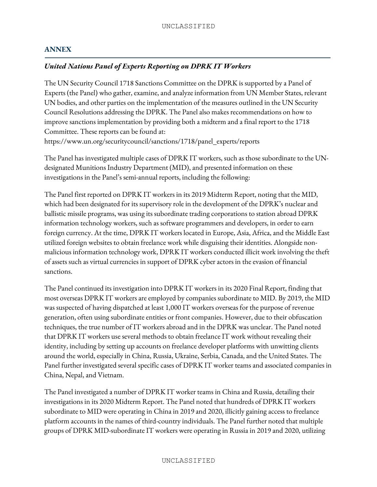# **ANNEX**

### *United Nations Panel of Experts Reporting on DPRK IT Workers*

The UN Security Council 1718 Sanctions Committee on the DPRK is supported by a Panel of Experts (the Panel) who gather, examine, and analyze information from UN Member States, relevant UN bodies, and other parties on the implementation of the measures outlined in the UN Security Council Resolutions addressing the DPRK. The Panel also makes recommendations on how to improve sanctions implementation by providing both a midterm and a final report to the 1718 Committee. These reports can be found at: https://www.un.org/securitycouncil/sanctions/1718/panel\_experts/reports

The Panel has investigated multiple cases of DPRK IT workers, such as those subordinate to the UNdesignated Munitions Industry Department (MID), and presented information on these investigations in the Panel's semi-annual reports, including the following:

The Panel first reported on DPRK IT workers in its 2019 Midterm Report, noting that the MID, which had been designated for its supervisory role in the development of the DPRK's nuclear and ballistic missile programs, was using its subordinate trading corporations to station abroad DPRK information technology workers, such as software programmers and developers, in order to earn foreign currency. At the time, DPRK IT workers located in Europe, Asia, Africa, and the Middle East utilized foreign websites to obtain freelance work while disguising their identities. Alongside nonmalicious information technology work, DPRK IT workers conducted illicit work involving the theft of assets such as virtual currencies in support of DPRK cyber actors in the evasion of financial sanctions.

The Panel continued its investigation into DPRK IT workers in its 2020 Final Report, finding that most overseas DPRK IT workers are employed by companies subordinate to MID. By 2019, the MID was suspected of having dispatched at least 1,000 IT workers overseas for the purpose of revenue generation, often using subordinate entities or front companies. However, due to their obfuscation techniques, the true number of IT workers abroad and in the DPRK was unclear. The Panel noted that DPRK IT workers use several methods to obtain freelance IT work without revealing their identity, including by setting up accounts on freelance developer platforms with unwitting clients around the world, especially in China, Russia, Ukraine, Serbia, Canada, and the United States. The Panel further investigated several specific cases of DPRK IT worker teams and associated companies in China, Nepal, and Vietnam.

The Panel investigated a number of DPRK IT worker teams in China and Russia, detailing their investigations in its 2020 Midterm Report. The Panel noted that hundreds of DPRK IT workers subordinate to MID were operating in China in 2019 and 2020, illicitly gaining access to freelance platform accounts in the names of third-country individuals. The Panel further noted that multiple groups of DPRK MID-subordinate IT workers were operating in Russia in 2019 and 2020, utilizing